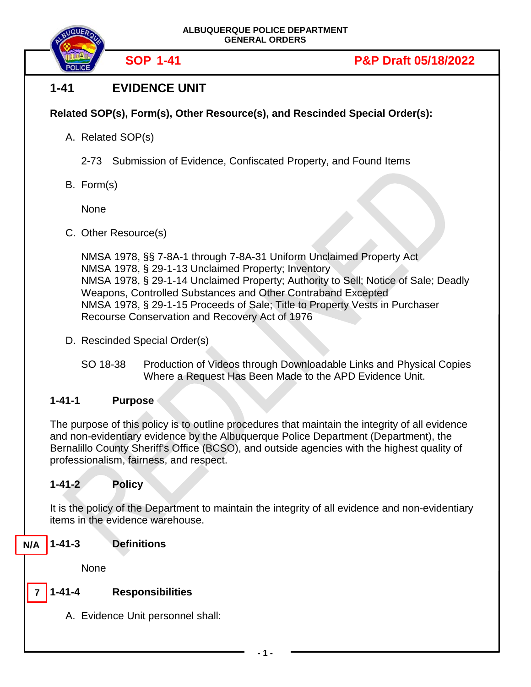



#### **1-41 EVIDENCE UNIT**

#### **Related SOP(s), Form(s), Other Resource(s), and Rescinded Special Order(s):**

- A. Related SOP(s)
	- 2-73 Submission of Evidence, Confiscated Property, and Found Items
- B. Form(s)

None

C. Other Resource(s)

NMSA 1978, §§ 7-8A-1 through 7-8A-31 Uniform Unclaimed Property Act NMSA 1978, § 29-1-13 Unclaimed Property; Inventory NMSA 1978, § 29-1-14 Unclaimed Property; Authority to Sell; Notice of Sale; Deadly Weapons, Controlled Substances and Other Contraband Excepted NMSA 1978, § 29-1-15 Proceeds of Sale; Title to Property Vests in Purchaser Recourse Conservation and Recovery Act of 1976

- D. Rescinded Special Order(s)
	- SO 18-38 Production of Videos through Downloadable Links and Physical Copies Where a Request Has Been Made to the APD Evidence Unit.

#### **1-41-1 Purpose**

The purpose of this policy is to outline procedures that maintain the integrity of all evidence and non-evidentiary evidence by the Albuquerque Police Department (Department), the Bernalillo County Sheriff's Office (BCSO), and outside agencies with the highest quality of professionalism, fairness, and respect.

#### **1-41-2 Policy**

It is the policy of the Department to maintain the integrity of all evidence and non-evidentiary items in the evidence warehouse.

**1-41-3 Definitions N/A**

None

#### **1-41-4 Responsibilities 7**

A. Evidence Unit personnel shall: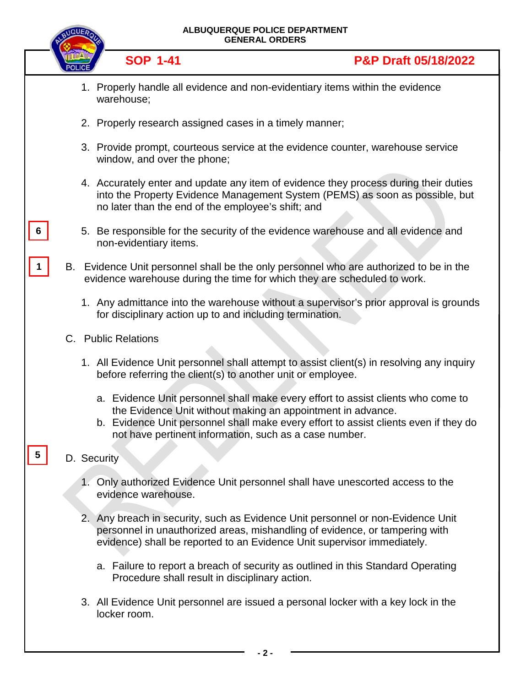|    | ALBUQUERQUE POLICE DEPARTMENT<br><b>GENERAL ORDERS</b> |  |                                                                                                                                                                                                                                                                                                   |
|----|--------------------------------------------------------|--|---------------------------------------------------------------------------------------------------------------------------------------------------------------------------------------------------------------------------------------------------------------------------------------------------|
|    |                                                        |  | <b>SOP 1-41</b><br><b>P&amp;P Draft 05/18/2022</b>                                                                                                                                                                                                                                                |
|    |                                                        |  | 1. Properly handle all evidence and non-evidentiary items within the evidence<br>warehouse;                                                                                                                                                                                                       |
|    |                                                        |  | 2. Properly research assigned cases in a timely manner;                                                                                                                                                                                                                                           |
|    |                                                        |  | 3. Provide prompt, courteous service at the evidence counter, warehouse service<br>window, and over the phone;                                                                                                                                                                                    |
|    |                                                        |  | 4. Accurately enter and update any item of evidence they process during their duties<br>into the Property Evidence Management System (PEMS) as soon as possible, but<br>no later than the end of the employee's shift; and                                                                        |
|    |                                                        |  | 5. Be responsible for the security of the evidence warehouse and all evidence and<br>non-evidentiary items.                                                                                                                                                                                       |
|    |                                                        |  | B. Evidence Unit personnel shall be the only personnel who are authorized to be in the<br>evidence warehouse during the time for which they are scheduled to work.                                                                                                                                |
|    |                                                        |  | 1. Any admittance into the warehouse without a supervisor's prior approval is grounds<br>for disciplinary action up to and including termination.                                                                                                                                                 |
|    |                                                        |  | C. Public Relations                                                                                                                                                                                                                                                                               |
|    |                                                        |  | 1. All Evidence Unit personnel shall attempt to assist client(s) in resolving any inquiry<br>before referring the client(s) to another unit or employee.                                                                                                                                          |
|    |                                                        |  | a. Evidence Unit personnel shall make every effort to assist clients who come to<br>the Evidence Unit without making an appointment in advance.<br>b. Evidence Unit personnel shall make every effort to assist clients even if they do<br>not have pertinent information, such as a case number. |
| 5. |                                                        |  | D. Security                                                                                                                                                                                                                                                                                       |
|    |                                                        |  | 1. Only authorized Evidence Unit personnel shall have unescorted access to the<br>evidence warehouse.                                                                                                                                                                                             |
|    |                                                        |  | 2. Any breach in security, such as Evidence Unit personnel or non-Evidence Unit<br>personnel in unauthorized areas, mishandling of evidence, or tampering with<br>evidence) shall be reported to an Evidence Unit supervisor immediately.                                                         |
|    |                                                        |  | a. Failure to report a breach of security as outlined in this Standard Operating<br>Procedure shall result in disciplinary action.                                                                                                                                                                |
|    |                                                        |  | 3. All Evidence Unit personnel are issued a personal locker with a key lock in the<br>locker room.                                                                                                                                                                                                |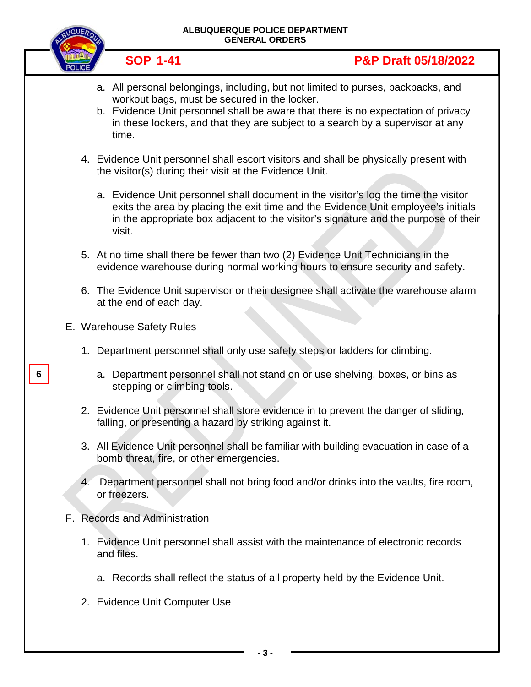

**6**

**ALBUQUERQUE POLICE DEPARTMENT**

**- 3 -**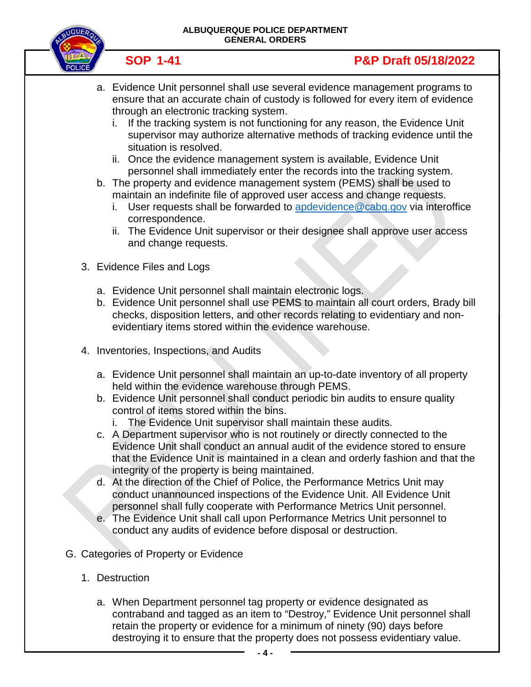

- a. Evidence Unit personnel shall use several evidence management programs to ensure that an accurate chain of custody is followed for every item of evidence through an electronic tracking system.
	- i. If the tracking system is not functioning for any reason, the Evidence Unit supervisor may authorize alternative methods of tracking evidence until the situation is resolved.
	- ii. Once the evidence management system is available, Evidence Unit personnel shall immediately enter the records into the tracking system.
- b. The property and evidence management system (PEMS) shall be used to maintain an indefinite file of approved user access and change requests.
	- i. User requests shall be forwarded to [apdevidence@cabq.gov](mailto:apdevidence@cabq.gov) via interoffice correspondence.
	- ii. The Evidence Unit supervisor or their designee shall approve user access and change requests.
- 3. Evidence Files and Logs
	- a. Evidence Unit personnel shall maintain electronic logs.
	- b. Evidence Unit personnel shall use PEMS to maintain all court orders, Brady bill checks, disposition letters, and other records relating to evidentiary and nonevidentiary items stored within the evidence warehouse.
- 4. Inventories, Inspections, and Audits
	- a. Evidence Unit personnel shall maintain an up-to-date inventory of all property held within the evidence warehouse through PEMS.
	- b. Evidence Unit personnel shall conduct periodic bin audits to ensure quality control of items stored within the bins.
		- i. The Evidence Unit supervisor shall maintain these audits.
	- c. A Department supervisor who is not routinely or directly connected to the Evidence Unit shall conduct an annual audit of the evidence stored to ensure that the Evidence Unit is maintained in a clean and orderly fashion and that the integrity of the property is being maintained.
	- d. At the direction of the Chief of Police, the Performance Metrics Unit may conduct unannounced inspections of the Evidence Unit. All Evidence Unit personnel shall fully cooperate with Performance Metrics Unit personnel.
	- e. The Evidence Unit shall call upon Performance Metrics Unit personnel to conduct any audits of evidence before disposal or destruction.
- G. Categories of Property or Evidence
	- 1. Destruction
		- a. When Department personnel tag property or evidence designated as contraband and tagged as an item to "Destroy," Evidence Unit personnel shall retain the property or evidence for a minimum of ninety (90) days before destroying it to ensure that the property does not possess evidentiary value.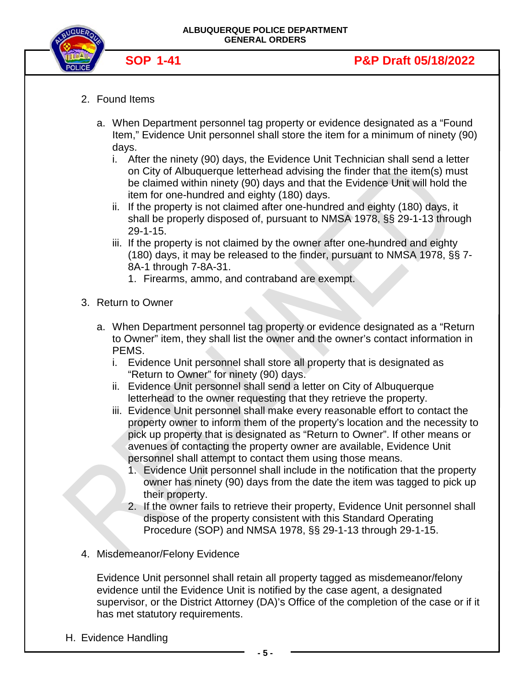



- 2. Found Items
	- a. When Department personnel tag property or evidence designated as a "Found Item," Evidence Unit personnel shall store the item for a minimum of ninety (90) days.
		- i. After the ninety (90) days, the Evidence Unit Technician shall send a letter on City of Albuquerque letterhead advising the finder that the item(s) must be claimed within ninety (90) days and that the Evidence Unit will hold the item for one-hundred and eighty (180) days.
		- ii. If the property is not claimed after one-hundred and eighty (180) days, it shall be properly disposed of, pursuant to NMSA 1978, §§ 29-1-13 through 29-1-15.
		- iii. If the property is not claimed by the owner after one-hundred and eighty (180) days, it may be released to the finder, pursuant to NMSA 1978, §§ 7- 8A-1 through 7-8A-31.
			- 1. Firearms, ammo, and contraband are exempt.
- 3. Return to Owner
	- a. When Department personnel tag property or evidence designated as a "Return to Owner" item, they shall list the owner and the owner's contact information in PEMS.
		- i. Evidence Unit personnel shall store all property that is designated as "Return to Owner" for ninety (90) days.
		- ii. Evidence Unit personnel shall send a letter on City of Albuquerque letterhead to the owner requesting that they retrieve the property.
		- iii. Evidence Unit personnel shall make every reasonable effort to contact the property owner to inform them of the property's location and the necessity to pick up property that is designated as "Return to Owner". If other means or avenues of contacting the property owner are available, Evidence Unit personnel shall attempt to contact them using those means.
			- 1. Evidence Unit personnel shall include in the notification that the property owner has ninety (90) days from the date the item was tagged to pick up their property.
			- 2. If the owner fails to retrieve their property, Evidence Unit personnel shall dispose of the property consistent with this Standard Operating Procedure (SOP) and NMSA 1978, §§ 29-1-13 through 29-1-15.
- 4. Misdemeanor/Felony Evidence

Evidence Unit personnel shall retain all property tagged as misdemeanor/felony evidence until the Evidence Unit is notified by the case agent, a designated supervisor, or the District Attorney (DA)'s Office of the completion of the case or if it has met statutory requirements.

H. Evidence Handling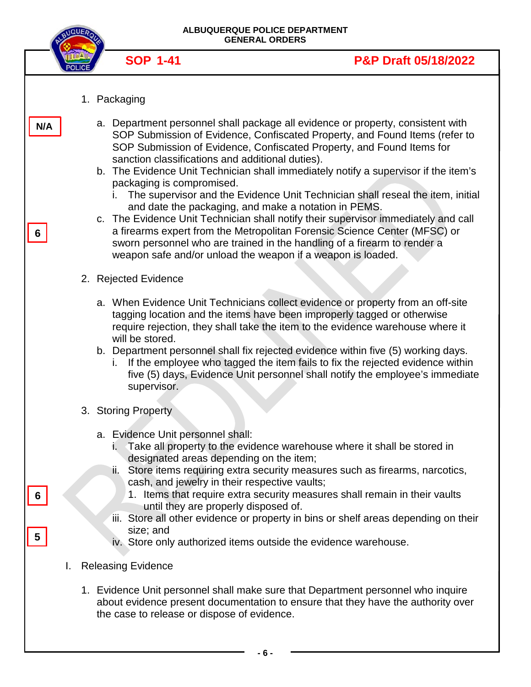|     | <b>NQUER</b> |                                                                                                                                                                                          | ALBUQUERQUE POLICE DEPARTMENT<br><b>GENERAL ORDERS</b>                                                                                                                                                                                                                                                                                                                                                                                                                                                                                                                                                                                                                                                                                                                                 |
|-----|--------------|------------------------------------------------------------------------------------------------------------------------------------------------------------------------------------------|----------------------------------------------------------------------------------------------------------------------------------------------------------------------------------------------------------------------------------------------------------------------------------------------------------------------------------------------------------------------------------------------------------------------------------------------------------------------------------------------------------------------------------------------------------------------------------------------------------------------------------------------------------------------------------------------------------------------------------------------------------------------------------------|
|     |              | <b>SOP 1-41</b>                                                                                                                                                                          | <b>P&amp;P Draft 05/18/2022</b>                                                                                                                                                                                                                                                                                                                                                                                                                                                                                                                                                                                                                                                                                                                                                        |
|     |              | 1. Packaging                                                                                                                                                                             |                                                                                                                                                                                                                                                                                                                                                                                                                                                                                                                                                                                                                                                                                                                                                                                        |
| N/A |              | sanction classifications and additional duties).<br>packaging is compromised.                                                                                                            | a. Department personnel shall package all evidence or property, consistent with<br>SOP Submission of Evidence, Confiscated Property, and Found Items (refer to<br>SOP Submission of Evidence, Confiscated Property, and Found Items for<br>b. The Evidence Unit Technician shall immediately notify a supervisor if the item's<br>The supervisor and the Evidence Unit Technician shall reseal the item, initial<br>and date the packaging, and make a notation in PEMS.<br>c. The Evidence Unit Technician shall notify their supervisor immediately and call<br>a firearms expert from the Metropolitan Forensic Science Center (MFSC) or<br>sworn personnel who are trained in the handling of a firearm to render a<br>weapon safe and/or unload the weapon if a weapon is loaded. |
|     |              | 2. Rejected Evidence                                                                                                                                                                     |                                                                                                                                                                                                                                                                                                                                                                                                                                                                                                                                                                                                                                                                                                                                                                                        |
|     |              | will be stored.<br>İ.<br>supervisor.                                                                                                                                                     | a. When Evidence Unit Technicians collect evidence or property from an off-site<br>tagging location and the items have been improperly tagged or otherwise<br>require rejection, they shall take the item to the evidence warehouse where it<br>b. Department personnel shall fix rejected evidence within five (5) working days.<br>If the employee who tagged the item fails to fix the rejected evidence within<br>five (5) days, Evidence Unit personnel shall notify the employee's immediate                                                                                                                                                                                                                                                                                     |
|     |              | 3. Storing Property                                                                                                                                                                      |                                                                                                                                                                                                                                                                                                                                                                                                                                                                                                                                                                                                                                                                                                                                                                                        |
|     |              | a. Evidence Unit personnel shall:<br>i.<br>designated areas depending on the item;<br>cash, and jewelry in their respective vaults;<br>until they are properly disposed of.<br>size; and | Take all property to the evidence warehouse where it shall be stored in<br>ii. Store items requiring extra security measures such as firearms, narcotics,<br>1. Items that require extra security measures shall remain in their vaults<br>iii. Store all other evidence or property in bins or shelf areas depending on their<br>iv. Store only authorized items outside the evidence warehouse.                                                                                                                                                                                                                                                                                                                                                                                      |
| I.  |              | <b>Releasing Evidence</b>                                                                                                                                                                |                                                                                                                                                                                                                                                                                                                                                                                                                                                                                                                                                                                                                                                                                                                                                                                        |
|     |              | the case to release or dispose of evidence.                                                                                                                                              | 1. Evidence Unit personnel shall make sure that Department personnel who inquire<br>about evidence present documentation to ensure that they have the authority over                                                                                                                                                                                                                                                                                                                                                                                                                                                                                                                                                                                                                   |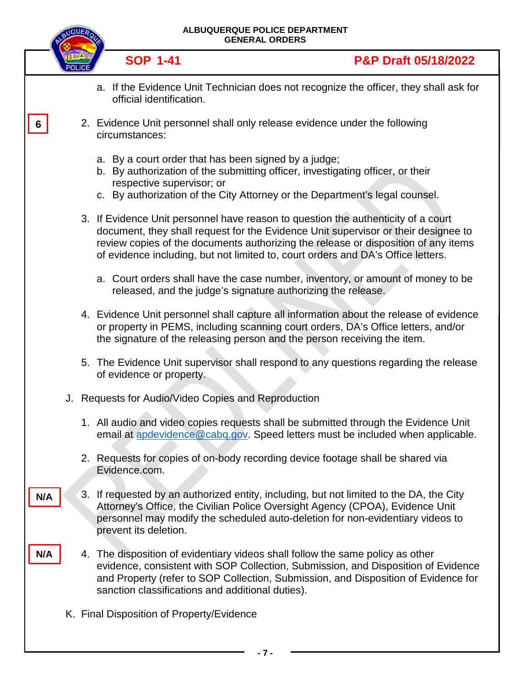|     |  | ALBUQUERQUE POLICE DEPARTMENT<br><b>GENERAL ORDERS</b>                                                                                                                                                                                                                                                                                            |
|-----|--|---------------------------------------------------------------------------------------------------------------------------------------------------------------------------------------------------------------------------------------------------------------------------------------------------------------------------------------------------|
|     |  | <b>SOP 1-41</b><br>P&P Draft 05/18/2022                                                                                                                                                                                                                                                                                                           |
|     |  | a. If the Evidence Unit Technician does not recognize the officer, they shall ask for<br>official identification.                                                                                                                                                                                                                                 |
| 6   |  | 2. Evidence Unit personnel shall only release evidence under the following<br>circumstances:                                                                                                                                                                                                                                                      |
|     |  | a. By a court order that has been signed by a judge;<br>b. By authorization of the submitting officer, investigating officer, or their<br>respective supervisor; or<br>c. By authorization of the City Attorney or the Department's legal counsel.                                                                                                |
|     |  | 3. If Evidence Unit personnel have reason to question the authenticity of a court<br>document, they shall request for the Evidence Unit supervisor or their designee to<br>review copies of the documents authorizing the release or disposition of any items<br>of evidence including, but not limited to, court orders and DA's Office letters. |
|     |  | a. Court orders shall have the case number, inventory, or amount of money to be<br>released, and the judge's signature authorizing the release.                                                                                                                                                                                                   |
|     |  | 4. Evidence Unit personnel shall capture all information about the release of evidence<br>or property in PEMS, including scanning court orders, DA's Office letters, and/or<br>the signature of the releasing person and the person receiving the item.                                                                                           |
|     |  | 5. The Evidence Unit supervisor shall respond to any questions regarding the release<br>of evidence or property.                                                                                                                                                                                                                                  |
|     |  | J. Requests for Audio/Video Copies and Reproduction                                                                                                                                                                                                                                                                                               |
|     |  | 1. All audio and video copies requests shall be submitted through the Evidence Unit<br>email at apdevidence@cabq.gov. Speed letters must be included when applicable.                                                                                                                                                                             |
|     |  | 2. Requests for copies of on-body recording device footage shall be shared via<br>Evidence.com.                                                                                                                                                                                                                                                   |
| N/A |  | 3. If requested by an authorized entity, including, but not limited to the DA, the City<br>Attorney's Office, the Civilian Police Oversight Agency (CPOA), Evidence Unit<br>personnel may modify the scheduled auto-deletion for non-evidentiary videos to<br>prevent its deletion.                                                               |
| N/A |  | 4. The disposition of evidentiary videos shall follow the same policy as other<br>evidence, consistent with SOP Collection, Submission, and Disposition of Evidence<br>and Property (refer to SOP Collection, Submission, and Disposition of Evidence for<br>sanction classifications and additional duties).                                     |
|     |  | K. Final Disposition of Property/Evidence                                                                                                                                                                                                                                                                                                         |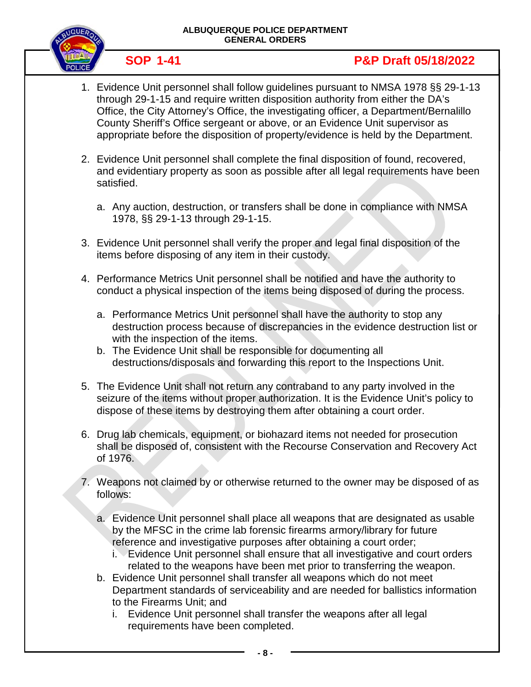

- 1. Evidence Unit personnel shall follow guidelines pursuant to NMSA 1978 §§ 29-1-13 through 29-1-15 and require written disposition authority from either the DA's Office, the City Attorney's Office, the investigating officer, a Department/Bernalillo County Sheriff's Office sergeant or above, or an Evidence Unit supervisor as appropriate before the disposition of property/evidence is held by the Department.
- 2. Evidence Unit personnel shall complete the final disposition of found, recovered, and evidentiary property as soon as possible after all legal requirements have been satisfied.
	- a. Any auction, destruction, or transfers shall be done in compliance with NMSA 1978, §§ 29-1-13 through 29-1-15.
- 3. Evidence Unit personnel shall verify the proper and legal final disposition of the items before disposing of any item in their custody.
- 4. Performance Metrics Unit personnel shall be notified and have the authority to conduct a physical inspection of the items being disposed of during the process.
	- a. Performance Metrics Unit personnel shall have the authority to stop any destruction process because of discrepancies in the evidence destruction list or with the inspection of the items.
	- b. The Evidence Unit shall be responsible for documenting all destructions/disposals and forwarding this report to the Inspections Unit.
- 5. The Evidence Unit shall not return any contraband to any party involved in the seizure of the items without proper authorization. It is the Evidence Unit's policy to dispose of these items by destroying them after obtaining a court order.
- 6. Drug lab chemicals, equipment, or biohazard items not needed for prosecution shall be disposed of, consistent with the Recourse Conservation and Recovery Act of 1976.
- 7. Weapons not claimed by or otherwise returned to the owner may be disposed of as follows:
	- a. Evidence Unit personnel shall place all weapons that are designated as usable by the MFSC in the crime lab forensic firearms armory/library for future reference and investigative purposes after obtaining a court order;
		- i. Evidence Unit personnel shall ensure that all investigative and court orders related to the weapons have been met prior to transferring the weapon.
	- b. Evidence Unit personnel shall transfer all weapons which do not meet Department standards of serviceability and are needed for ballistics information to the Firearms Unit; and
		- i. Evidence Unit personnel shall transfer the weapons after all legal requirements have been completed.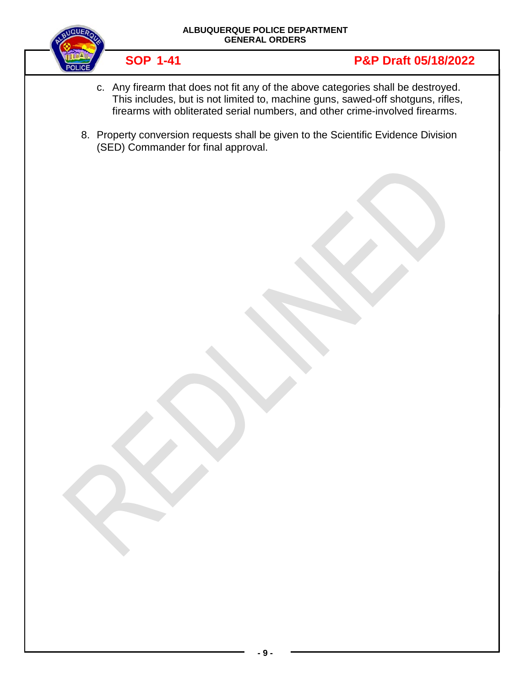



- c. Any firearm that does not fit any of the above categories shall be destroyed. This includes, but is not limited to, machine guns, sawed-off shotguns, rifles, firearms with obliterated serial numbers, and other crime-involved firearms.
- 8. Property conversion requests shall be given to the Scientific Evidence Division (SED) Commander for final approval.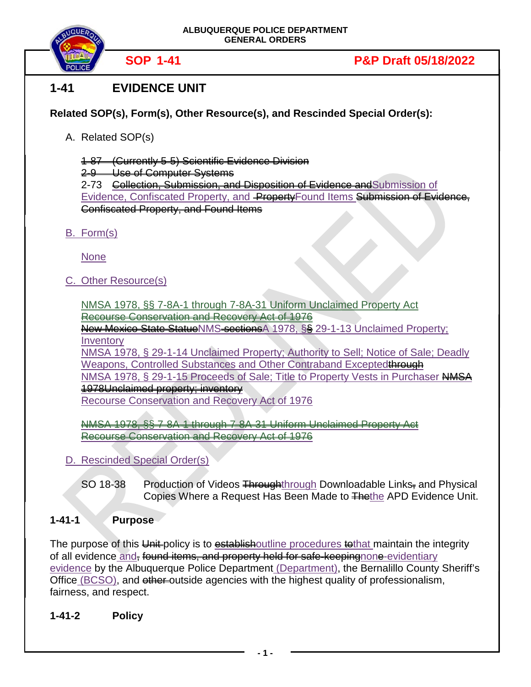

### **1-41 EVIDENCE UNIT**

#### **Related SOP(s), Form(s), Other Resource(s), and Rescinded Special Order(s):**

A. Related SOP(s)

1-87 (Currently 5-5) Scientific Evidence Division

2-9 Use of Computer Systems

2-73 Collection, Submission, and Disposition of Evidence and Submission of Evidence, Confiscated Property, and PropertyFound Items Submission of Evidence, Confiscated Property, and Found Items

B. Form(s)

None

C. Other Resource(s)

NMSA 1978, §§ 7-8A-1 through 7-8A-31 Uniform Unclaimed Property Act Recourse Conservation and Recovery Act of 1976

New Mexico State StatueNMS sections A 1978, §§ 29-1-13 Unclaimed Property; **Inventory** 

NMSA 1978, § 29-1-14 Unclaimed Property; Authority to Sell; Notice of Sale; Deadly Weapons, Controlled Substances and Other Contraband Exceptedthrough NMSA 1978, § 29-1-15 Proceeds of Sale; Title to Property Vests in Purchaser NMSA 1978Unclaimed property; inventory

Recourse Conservation and Recovery Act of 1976

NMSA 1978, §§ 7-8A-1 through 7-8A-31 Uniform Unclaimed Property Act Recourse Conservation and Recovery Act of 1976

- D. Rescinded Special Order(s)
	- SO 18-38 Production of Videos Throughthrough Downloadable Links, and Physical Copies Where a Request Has Been Made to Thethe APD Evidence Unit.

#### **1-41-1 Purpose**

The purpose of this Unit-policy is to establishoutline procedures to that maintain the integrity of all evidence and, found items, and property held for safe-keepingnone-evidentiary evidence by the Albuquerque Police Department (Department), the Bernalillo County Sheriff's Office (BCSO), and other-outside agencies with the highest quality of professionalism, fairness, and respect.

**1-41-2 Policy**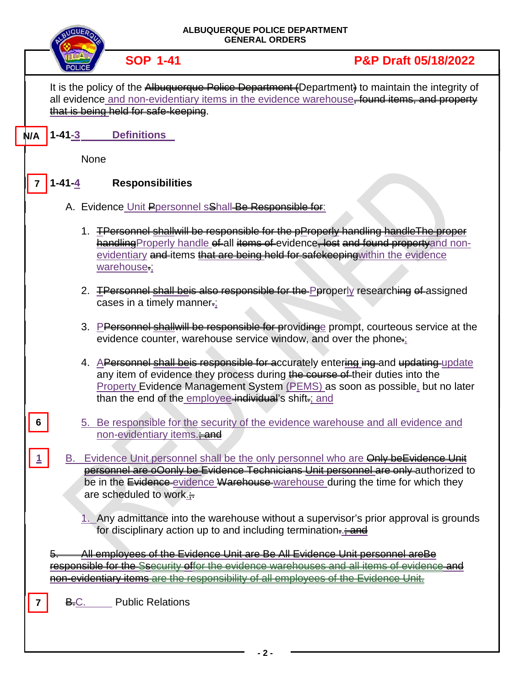| ALBUQUERQUE POLICE DEPARTMENT<br><b>GENERAL ORDERS</b>                                                                                                                                                                                                                 |                                                                                                                                                                                                                                                                    |  |  |  |
|------------------------------------------------------------------------------------------------------------------------------------------------------------------------------------------------------------------------------------------------------------------------|--------------------------------------------------------------------------------------------------------------------------------------------------------------------------------------------------------------------------------------------------------------------|--|--|--|
| <b>SOP 1-41</b>                                                                                                                                                                                                                                                        | <b>P&amp;P Draft 05/18/2022</b>                                                                                                                                                                                                                                    |  |  |  |
| that is being held for safe-keeping.                                                                                                                                                                                                                                   | It is the policy of the Albuquerque Police Department (Department) to maintain the integrity of<br>all evidence and non-evidentiary items in the evidence warehouse, found items, and property                                                                     |  |  |  |
| $1 - 41 - 3$<br><b>Definitions</b><br>N/A                                                                                                                                                                                                                              |                                                                                                                                                                                                                                                                    |  |  |  |
| <b>None</b>                                                                                                                                                                                                                                                            |                                                                                                                                                                                                                                                                    |  |  |  |
| <b>Responsibilities</b><br>l -41-4<br>7                                                                                                                                                                                                                                |                                                                                                                                                                                                                                                                    |  |  |  |
| A. Evidence Unit Ppersonnel sShall-Be Responsible for:                                                                                                                                                                                                                 |                                                                                                                                                                                                                                                                    |  |  |  |
| warehouse:                                                                                                                                                                                                                                                             | 1. <b>TPersonnel shallwill be responsible for the pProperly handling handle The proper</b><br>handling Properly handle of all items of evidence, lost and found proporty and non-<br>evidentiary and items that are being held for safekeeping within the evidence |  |  |  |
| cases in a timely manner.;                                                                                                                                                                                                                                             | 2. <b>TPersonnel shall beis also responsible for the Peroperly researching of assigned</b>                                                                                                                                                                         |  |  |  |
|                                                                                                                                                                                                                                                                        | 3. PPersonnel shallwill be responsible for providing eprompt, courteous service at the<br>evidence counter, warehouse service window, and over the phone-                                                                                                          |  |  |  |
| than the end of the employee individual's shift-; and                                                                                                                                                                                                                  | 4. APersonnel shall beis responsible for accurately entering ing-and updating-update<br>any item of evidence they process during the course of their duties into the<br>Property Evidence Management System (PEMS) as soon as possible, but no later               |  |  |  |
| 6<br>non-evidentiary items. <sup>2</sup>                                                                                                                                                                                                                               | 5. Be responsible for the security of the evidence warehouse and all evidence and                                                                                                                                                                                  |  |  |  |
| are scheduled to work. $\div$                                                                                                                                                                                                                                          | B. Evidence Unit personnel shall be the only personnel who are Only be Evidence Unit<br>personnel are oConly be Evidence Technicians Unit personnel are only authorized to<br>be in the Evidence evidence Warehouse warehouse during the time for which they       |  |  |  |
| 1. Any admittance into the warehouse without a supervisor's prior approval is grounds<br>for disciplinary action up to and including termination                                                                                                                       |                                                                                                                                                                                                                                                                    |  |  |  |
| <u>All employees of the Evidence Unit are Be All Evidence Unit personnel areBe</u><br>responsible for the Ssecurity offer the evidence warehouses and all items of evidence and<br>non-evidentiary items are the responsibility of all employees of the Evidence Unit. |                                                                                                                                                                                                                                                                    |  |  |  |
|                                                                                                                                                                                                                                                                        |                                                                                                                                                                                                                                                                    |  |  |  |
| <b>Public Relations</b><br><b>B.C.</b>                                                                                                                                                                                                                                 |                                                                                                                                                                                                                                                                    |  |  |  |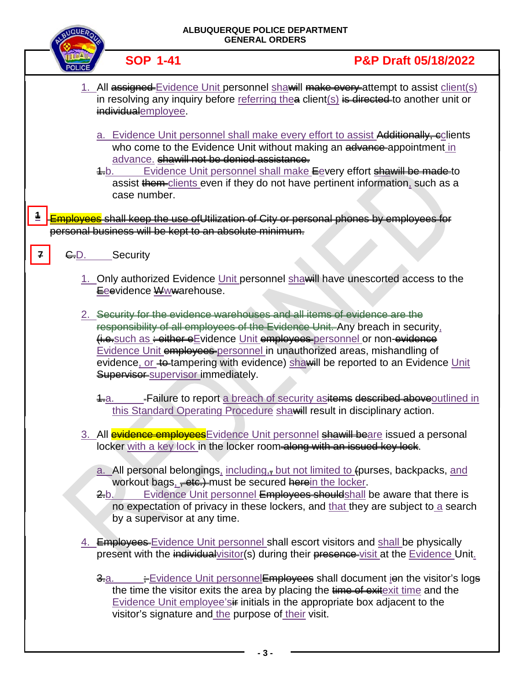|       | ALBUQUERQUE POLICE DEPARTMENT<br><b>GENERAL ORDERS</b> |                                                                                                     |                                                                                                                                                                                                                                                                                                                                                                                                       |
|-------|--------------------------------------------------------|-----------------------------------------------------------------------------------------------------|-------------------------------------------------------------------------------------------------------------------------------------------------------------------------------------------------------------------------------------------------------------------------------------------------------------------------------------------------------------------------------------------------------|
|       |                                                        | <b>SOP 1-41</b>                                                                                     | <b>P&amp;P Draft 05/18/2022</b>                                                                                                                                                                                                                                                                                                                                                                       |
|       |                                                        | individualemployee.                                                                                 | 1. All assigned Evidence Unit personnel shawill make every attempt to assist client(s)<br>in resolving any inquiry before referring the aclient( $s$ ) is directed to another unit or                                                                                                                                                                                                                 |
|       |                                                        | advance. shawill not be denied assistance.<br><del>1.</del> b.<br>case number.                      | a. Evidence Unit personnel shall make every effort to assist Additionally, eclients<br>who come to the Evidence Unit without making an advance-appointment in<br>Evidence Unit personnel shall make Eevery effort shawill be made to<br>assist them-clients even if they do not have pertinent information, such as a                                                                                 |
| $\pm$ |                                                        | personal business will be kept to an absolute minimum.                                              | <mark>nployees</mark> shall keep the use ofUtilization of City or personal phones by employees for                                                                                                                                                                                                                                                                                                    |
|       | <del>C.</del> D.                                       | Security                                                                                            |                                                                                                                                                                                                                                                                                                                                                                                                       |
|       |                                                        | Eeevidence Wwwarehouse.                                                                             | 1. Only authorized Evidence Unit personnel shawill have unescorted access to the                                                                                                                                                                                                                                                                                                                      |
|       |                                                        | Supervisor-supervisor-immediately.                                                                  | 2. Security for the evidence warehouses and all items of evidence are the<br>responsibility of all employees of the Evidence Unit. Any breach in security,<br>(i.e.such as : either eEvidence Unit employees personnel or non-evidence<br>Evidence Unit employees personnel in unauthorized areas, mishandling of<br>evidence, or te tampering with evidence) shawill be reported to an Evidence Unit |
|       |                                                        | 4.a.                                                                                                | -Failure to report a breach of security asitems described above outlined in<br>this Standard Operating Procedure shawill result in disciplinary action.                                                                                                                                                                                                                                               |
|       |                                                        |                                                                                                     | 3. All evidence employees Evidence Unit personnel shawill beare issued a personal<br>locker with a key lock in the locker room along with an issued key lock.                                                                                                                                                                                                                                         |
|       |                                                        | workout bags, + otc.) must be secured herein the locker.<br>$2$ -b.<br>by a supervisor at any time. | a. All personal belongings, including, but not limited to (purses, backpacks, and<br>Evidence Unit personnel Employees shouldshall be aware that there is<br>no expectation of privacy in these lockers, and that they are subject to a search                                                                                                                                                        |
|       |                                                        |                                                                                                     | 4. Employees Evidence Unit personnel shall escort visitors and shall be physically<br>present with the individual visitor(s) during their presence visit at the Evidence Unit.                                                                                                                                                                                                                        |
|       |                                                        | <del>3.</del> a.<br>visitor's signature and the purpose of their visit.                             | Evidence Unit personnelEmpleyees shall document jen the visitor's logs<br>the time the visitor exits the area by placing the time of exitexit time and the<br>Evidence Unit employee'si initials in the appropriate box adjacent to the                                                                                                                                                               |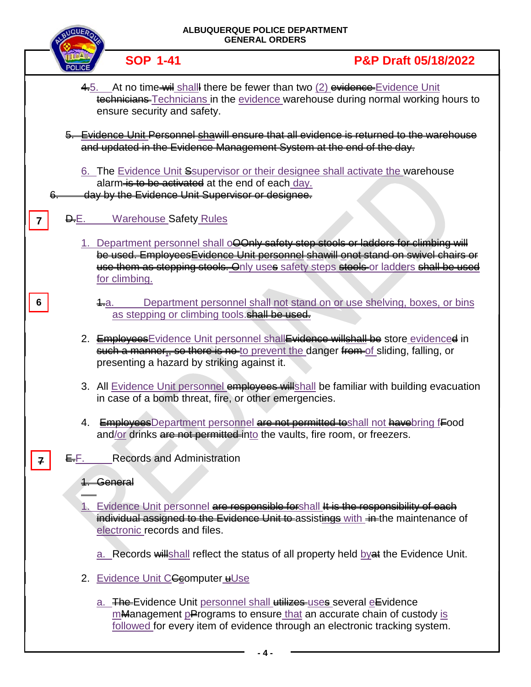|   | <b>ALBUQUERQUE POLICE DEPARTMENT</b><br><b>GENERAL ORDERS</b> |                                                                                                      |                                                                                                                                                                                                                                                                         |  |
|---|---------------------------------------------------------------|------------------------------------------------------------------------------------------------------|-------------------------------------------------------------------------------------------------------------------------------------------------------------------------------------------------------------------------------------------------------------------------|--|
|   |                                                               | <b>SOP 1-41</b>                                                                                      | <b>P&amp;P Draft 05/18/2022</b>                                                                                                                                                                                                                                         |  |
|   |                                                               | ensure security and safety.                                                                          | 4.5. At no time wil shall there be fewer than two (2) evidence Evidence Unit<br>technicians-Technicians in the evidence warehouse during normal working hours to                                                                                                        |  |
|   |                                                               |                                                                                                      | 5. Evidence Unit Personnel shawill ensure that all evidence is returned to the warehouse<br>and updated in the Evidence Management System at the end of the day.                                                                                                        |  |
|   |                                                               | alarm is to be activated at the end of each day.<br>day by the Evidence Unit Supervisor or designee. | 6. The Evidence Unit Ssupervisor or their designee shall activate the warehouse                                                                                                                                                                                         |  |
| 7 | <del>D.</del> E.                                              | <b>Warehouse Safety Rules</b>                                                                        |                                                                                                                                                                                                                                                                         |  |
|   |                                                               | for climbing.                                                                                        | 1. Department personnel shall o <b>QOnly safety step stools or ladders for climbing will</b><br>be used. EmployeesEvidence Unit personnel shawill onot stand on swivel chairs or<br>use them as stepping stools. Only uses safety steps stools or ladders shall be used |  |
| 6 |                                                               | 1-a.<br>as stepping or climbing tools. shall be used.                                                | Department personnel shall not stand on or use shelving, boxes, or bins                                                                                                                                                                                                 |  |
|   |                                                               | presenting a hazard by striking against it.                                                          | 2. Employees Evidence Unit personnel shall Evidence willshall be store evidenced in<br>such a manner, so there is no to prevent the danger from of sliding, falling, or                                                                                                 |  |
|   |                                                               |                                                                                                      | 3. All Evidence Unit personnel employees willshall be familiar with building evacuation<br>in case of a bomb threat, fire, or other emergencies.                                                                                                                        |  |
|   |                                                               |                                                                                                      | 4. EmployeesDepartment personnel are not permitted to shall not have bring food<br>and/or drinks are not permitted into the vaults, fire room, or freezers.                                                                                                             |  |
|   | <del>E.</del> F.                                              | <b>Records and Administration</b>                                                                    |                                                                                                                                                                                                                                                                         |  |
|   |                                                               | <del>General</del>                                                                                   |                                                                                                                                                                                                                                                                         |  |
|   |                                                               | electronic records and files.                                                                        | 1. Evidence Unit personnel are responsible for shall It is the responsibility of each<br>individual assigned to the Evidence Unit to assistings with in the maintenance of                                                                                              |  |
|   |                                                               |                                                                                                      | a. Records will shall reflect the status of all property held by at the Evidence Unit.                                                                                                                                                                                  |  |
|   |                                                               | 2. Evidence Unit CGeomputer uUse                                                                     |                                                                                                                                                                                                                                                                         |  |
|   |                                                               |                                                                                                      | a. The Evidence Unit personnel shall utilizes uses several elevidence<br>mManagement pPrograms to ensure that an accurate chain of custody is<br>followed for every item of evidence through an electronic tracking system.                                             |  |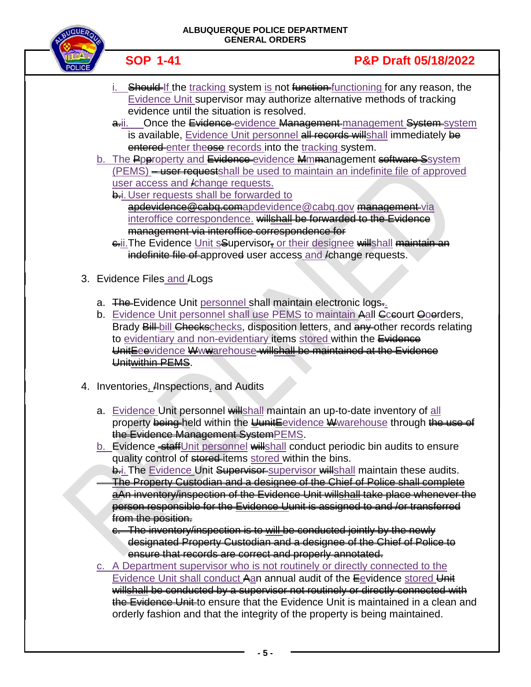

## **SOP 1-41 P&P Draft 05/18/2022**

- Should If the tracking system is not function functioning for any reason, the Evidence Unit supervisor may authorize alternative methods of tracking evidence until the situation is resolved.
- a.ii. Once the Evidence evidence Management management System system is available, Evidence Unit personnel all records willshall immediately be entered enter theose records into the tracking system.
- b. The Pperoperty and Evidence-evidence Mmmanagement software Ssystem (PEMS) – user requestshall be used to maintain an indefinite file of approved user access and /change requests.

**b.i.** User requests shall be forwarded to [apdevidence@cabq.comapdevidence@cabq.gov](mailto:apdevidence@cabq.gov) management-via interoffice correspondence. willshall be forwarded to the Evidence management via interoffice correspondence for

- e.ii. The Evidence Unit s<sup>Supervisor<sub></sub> or their designee willshall maintain an</sup> indefinite file of approved user access and *i*change requests.
- 3. Evidence Files and *ALogs* 
	- a. The Evidence Unit personnel shall maintain electronic logs.
	- b. Evidence Unit personnel shall use PEMS to maintain Aall Cceourt Ooerders, Brady Bill-bill Checkschecks, disposition letters, and any other records relating to evidentiary and non-evidentiary items stored within the Evidence UnitEeevidence Wwwarehouse willshall be maintained at the Evidence Unitwithin PEMS.
- 4. Inventories, /Inspections, and Audits
	- a. Evidence Unit personnel willshall maintain an up-to-date inventory of all property being held within the UunitEevidence Wwarehouse through the use of the Evidence Management SystemPEMS.
	- b. Evidence\_staffUnit personnel willshall conduct periodic bin audits to ensure quality control of stored items stored within the bins.

**b.i. The Evidence Unit Supervisor**-supervisor willshall maintain these audits. The Property Custodian and a designee of the Chief of Police shall complete aAn inventory/inspection of the Evidence Unit willshall take place whenever the person responsible for the Evidence Uunit is assigned to and /or transferred from the position.

- c. The inventory/inspection is to will be conducted jointly by the newly designated Property Custodian and a designee of the Chief of Police to ensure that records are correct and properly annotated.
- c. A Department supervisor who is not routinely or directly connected to the Evidence Unit shall conduct Aan annual audit of the Eevidence stored Unit willshall be conducted by a supervisor not routinely or directly connected with the Evidence Unit to ensure that the Evidence Unit is maintained in a clean and orderly fashion and that the integrity of the property is being maintained.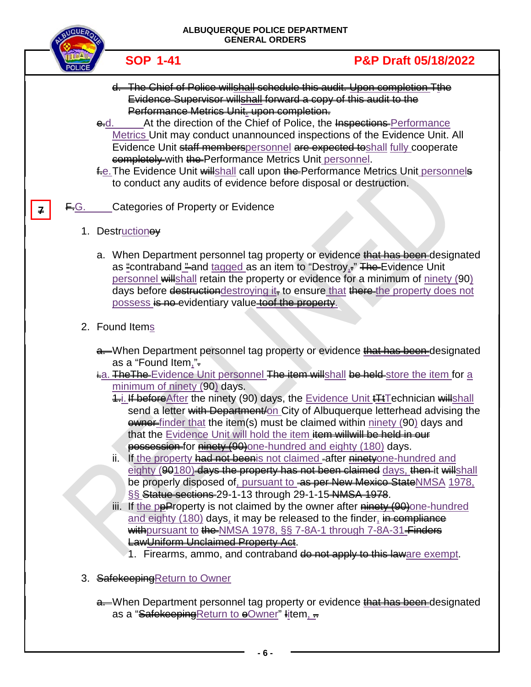|     | ALBUQUERQUE POLICE DEPARTMENT<br><b>GENERAL ORDERS</b>                                                               |                                                                                                                                                                                                                                                                                                                                                                                                                                                                                                                                                                                                                                                                                                                                                                                                                                                                                                                                                                                                                                                                                                                                                                                                                      |  |
|-----|----------------------------------------------------------------------------------------------------------------------|----------------------------------------------------------------------------------------------------------------------------------------------------------------------------------------------------------------------------------------------------------------------------------------------------------------------------------------------------------------------------------------------------------------------------------------------------------------------------------------------------------------------------------------------------------------------------------------------------------------------------------------------------------------------------------------------------------------------------------------------------------------------------------------------------------------------------------------------------------------------------------------------------------------------------------------------------------------------------------------------------------------------------------------------------------------------------------------------------------------------------------------------------------------------------------------------------------------------|--|
|     | <b>SOP 1-41</b>                                                                                                      | <b>P&amp;P Draft 05/18/2022</b>                                                                                                                                                                                                                                                                                                                                                                                                                                                                                                                                                                                                                                                                                                                                                                                                                                                                                                                                                                                                                                                                                                                                                                                      |  |
|     | Performance Metrics Unit-upon completion.<br><b>e.</b> d.<br>completely with the Performance Metrics Unit personnel. | d. The Chief of Police willshall schedule this audit. Upon completion Tthe<br>Evidence Supervisor willshall forward a copy of this audit to the<br>At the direction of the Chief of Police, the Inspections Performance<br>Metrics Unit may conduct unannounced inspections of the Evidence Unit. All<br>Evidence Unit staff memberspersonnel are expected to shall fully cooperate<br>fe. The Evidence Unit will shall call upon the Performance Metrics Unit personnels<br>to conduct any audits of evidence before disposal or destruction.                                                                                                                                                                                                                                                                                                                                                                                                                                                                                                                                                                                                                                                                       |  |
| EG. | Categories of Property or Evidence                                                                                   |                                                                                                                                                                                                                                                                                                                                                                                                                                                                                                                                                                                                                                                                                                                                                                                                                                                                                                                                                                                                                                                                                                                                                                                                                      |  |
|     | 1. Destructioney                                                                                                     |                                                                                                                                                                                                                                                                                                                                                                                                                                                                                                                                                                                                                                                                                                                                                                                                                                                                                                                                                                                                                                                                                                                                                                                                                      |  |
|     | possess is no evidentiary value toof the property.                                                                   | a. When Department personnel tag property or evidence that has been-designated<br>as "contraband " and tagged as an item to "Destroy <sub>1</sub> ," The Evidence Unit<br>personnel willshall retain the property or evidence for a minimum of ninety (90)<br>days before destruction destroying it, to ensure that there-the property does not                                                                                                                                                                                                                                                                                                                                                                                                                                                                                                                                                                                                                                                                                                                                                                                                                                                                      |  |
|     | 2. Found Items                                                                                                       |                                                                                                                                                                                                                                                                                                                                                                                                                                                                                                                                                                                                                                                                                                                                                                                                                                                                                                                                                                                                                                                                                                                                                                                                                      |  |
|     | as a "Found Item,".<br>minimum of ninety (90) days.<br>LawUniform Unclaimed Property Act.                            | a—When Department personnel tag property or evidence that has been-designated<br>ia. The The Evidence Unit personnel The item will shall be held store the item for a<br>4. <i>i.</i> If before After the ninety (90) days, the Evidence Unit <b>#HT</b> echnician will shall<br>send a letter with Department/on City of Albuquerque letterhead advising the<br><b>ewner-</b> finder that the item(s) must be claimed within ninety (90) days and<br>that the Evidence Unit will hold the item item will will be held in our<br>possession for ninety (90) one-hundred and eighty (180) days.<br>ii. If the property had not been is not claimed after ninetyone-hundred and<br>eighty (90180) days the property has not been claimed days, then it willshall<br>be properly disposed of, pursuant to as per New Mexico State NMSA 1978,<br>SS Statue sections 29-1-13 through 29-1-15 NMSA 1978.<br>iii. If the peProperty is not claimed by the owner after <b>ninety (90)</b> one-hundred<br>and eighty (180) days, it may be released to the finder, in compliance<br>withpursuant to the NMSA 1978, SS 7-8A-1 through 7-8A-31 Finders<br>1. Firearms, ammo, and contraband do not apply to this laware exempt. |  |
|     | 3. Safekeeping Return to Owner                                                                                       |                                                                                                                                                                                                                                                                                                                                                                                                                                                                                                                                                                                                                                                                                                                                                                                                                                                                                                                                                                                                                                                                                                                                                                                                                      |  |
|     | as a "Safekeeping Return to eOwner" litem, =                                                                         | a. When Department personnel tag property or evidence that has been designated                                                                                                                                                                                                                                                                                                                                                                                                                                                                                                                                                                                                                                                                                                                                                                                                                                                                                                                                                                                                                                                                                                                                       |  |

**- 6 -**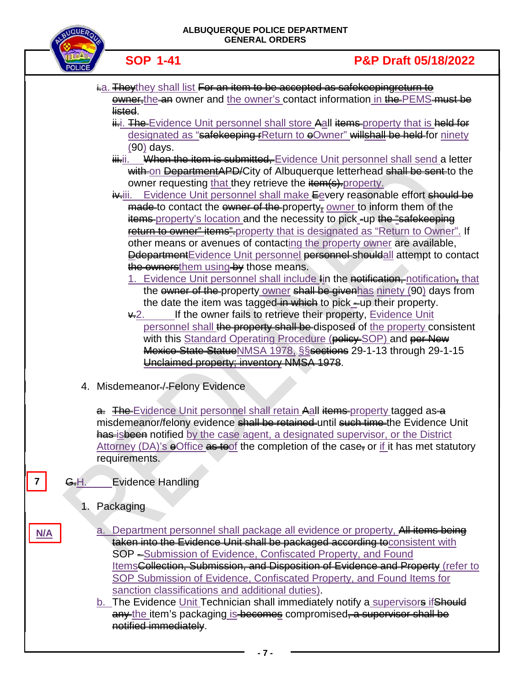

| $19-19-$                                                                                                                                                                 |
|--------------------------------------------------------------------------------------------------------------------------------------------------------------------------|
| ia. They they shall list For an item to be accepted as safekeeping return to<br><b><u>ewner-the-an</u></b> owner and the owner's contact information in the-PEMS-must be |
| listed.                                                                                                                                                                  |
| ii-i. The Evidence Unit personnel shall store Aall items property that is held for                                                                                       |
| designated as "safekeeping FReturn to eOwner" willshall be held for ninety                                                                                               |
| $(90)$ days.                                                                                                                                                             |
| When the item is submitted, Evidence Unit personnel shall send a letter<br><del>iii.</del> ii.                                                                           |
| with on DepartmentAPD/City of Albuquerque letterhead shall be sent to the<br>owner requesting that they retrieve the item(s)-property.                                   |
| it iii. Evidence Unit personnel shall make Eevery reasonable effort should be                                                                                            |
| $\frac{1}{2}$ made-to contact the ewner of the property <sub><sup><math>\frac{1}{2}</math></sup> owner to inform them of the</sub>                                       |
| items-property's location and the necessity to pick -up the "safekeeping"                                                                                                |
| return to owner" items" property that is designated as "Return to Owner". If                                                                                             |
| other means or avenues of contacting the property owner are available,                                                                                                   |
| <b>Ddepartment</b> Evidence Unit personnel personnel shouldall attempt to contact                                                                                        |
| the ownersthem using by those means.<br>1. Evidence Unit personnel shall include lin the notification, notification, that                                                |
| the ewner of the property owner shall be givenhas ninety (90) days from                                                                                                  |
| the date the item was tagged in which to pick_up their property.                                                                                                         |
| If the owner fails to retrieve their property, Evidence Unit<br>$\star$ 2.                                                                                               |
| personnel shall the proporty shall be disposed of the property consistent                                                                                                |
| with this Standard Operating Procedure (policy SOP) and per New                                                                                                          |
| Mexico State Statue NMSA 1978, SSections 29-1-13 through 29-1-15<br>Unclaimed property; inventory NMSA 1978.                                                             |
|                                                                                                                                                                          |
| 4. Misdemeanor=/-Felony Evidence                                                                                                                                         |
| a. The Evidence Unit personnel shall retain Aall items property tagged as a                                                                                              |
| misdemeanor/felony evidence shall be retained until such time the Evidence Unit                                                                                          |
| has isbeen notified by the case agent, a designated supervisor, or the District                                                                                          |
| Attorney (DA)'s $\Theta$ Office as toof the completion of the case, or if it has met statutory                                                                           |
| requirements.                                                                                                                                                            |
| <b>Evidence Handling</b><br>7<br><del>G.</del> H.                                                                                                                        |
| Packaging<br>1.                                                                                                                                                          |
| a. Department personnel shall package all evidence or property, All items being<br>N/A                                                                                   |
| taken into the Evidence Unit shall be packaged according to consistent with                                                                                              |
| SOP -Submission of Evidence, Confiscated Property, and Found                                                                                                             |
| ItemsCollection, Submission, and Disposition of Evidence and Property (refer to                                                                                          |
| SOP Submission of Evidence, Confiscated Property, and Found Items for                                                                                                    |
| sanction classifications and additional duties).<br>b. The Evidence Unit Technician shall immediately notify a supervisore if Should                                     |
| any the item's packaging is becomes compromised, a supervisor shall be                                                                                                   |
| notified immediately.                                                                                                                                                    |
|                                                                                                                                                                          |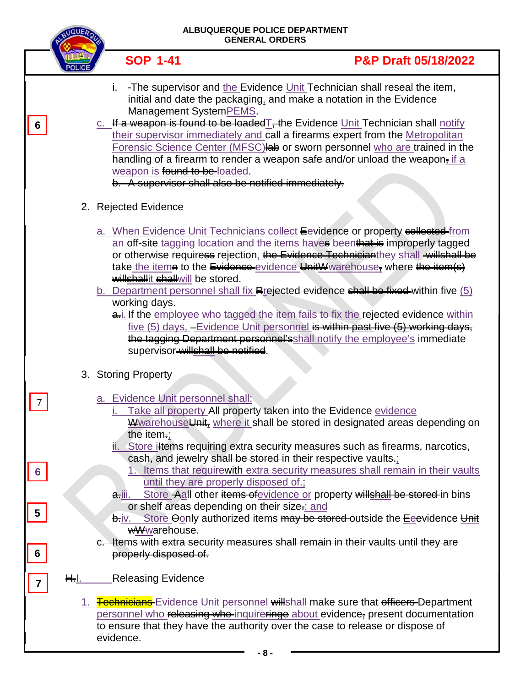|                 |             | ALBUQUERQUE POLICE DEPARTMENT<br><b>GENERAL ORDERS</b>        |                                                                                                                                                                                                                                                                                                                                                                                                                                                                                                                                                                                     |  |
|-----------------|-------------|---------------------------------------------------------------|-------------------------------------------------------------------------------------------------------------------------------------------------------------------------------------------------------------------------------------------------------------------------------------------------------------------------------------------------------------------------------------------------------------------------------------------------------------------------------------------------------------------------------------------------------------------------------------|--|
|                 |             | <b>SOP 1-41</b>                                               | <b>P&amp;P Draft 05/18/2022</b>                                                                                                                                                                                                                                                                                                                                                                                                                                                                                                                                                     |  |
| 6               |             | i.<br>Management SystemPEMS.<br>weapon is found to be loaded. | -The supervisor and the Evidence Unit Technician shall reseal the item,<br>initial and date the packaging, and make a notation in the Evidence<br>c. If a weapon is found to be loaded $T$ , the Evidence Unit Technician shall notify<br>their supervisor immediately and call a firearms expert from the Metropolitan<br>Forensic Science Center (MFSC) lab or sworn personnel who are trained in the<br>handling of a firearm to render a weapon safe and/or unload the weapon <sub><math>\frac{\pi}{2}</math></sub> if a<br>b. A supervisor shall also be notified immediately. |  |
|                 |             | 2. Rejected Evidence                                          |                                                                                                                                                                                                                                                                                                                                                                                                                                                                                                                                                                                     |  |
|                 |             | willshallit shallwill be stored.                              | a. When Evidence Unit Technicians collect Eevidence or property collected from<br>an off-site tagging location and the items haves beenthat is improperly tagged<br>or otherwise requiress rejection, the Evidence Technicianthey shall willshall be<br>take the item at to the Evidence evidence UnitWwarehouse, where the item (s)                                                                                                                                                                                                                                                |  |
|                 |             | working days.<br>supervisor-willshall be notified.            | b. Department personnel shall fix Rrejected evidence shall be fixed within five (5)<br>a. If the employee who tagged the item fails to fix the rejected evidence within<br>five (5) days, -Evidence Unit personnel is within past five (5) working days,<br>the tagging Department personnel's shall notify the employee's immediate                                                                                                                                                                                                                                                |  |
|                 |             | 3. Storing Property                                           |                                                                                                                                                                                                                                                                                                                                                                                                                                                                                                                                                                                     |  |
|                 |             | a. Evidence Unit personnel shall:<br>the item $\equiv$        | Take all property All property taken into the Evidence-evidence<br>Wwarehouse Unit, where it shall be stored in designated areas depending on                                                                                                                                                                                                                                                                                                                                                                                                                                       |  |
| $6\overline{6}$ |             | until they are properly disposed of.<br><del>a.</del> iii.    | Store iltems requiring extra security measures such as firearms, narcotics,<br>cash, and jewelry shall be stored in their respective vaults.<br>Items that require with extra security measures shall remain in their vaults<br>Store Aall other items of evidence or property willshall be stored in bins                                                                                                                                                                                                                                                                          |  |
| 5               |             | <del>b.</del> iv.<br><b>wWwarehouse.</b>                      | or shelf areas depending on their size-; and<br>Store Oonly authorized items may be stored outside the Eeevidence Unit                                                                                                                                                                                                                                                                                                                                                                                                                                                              |  |
| 6               |             | properly disposed of.                                         | Items with extra security measures shall remain in their vaults until they are                                                                                                                                                                                                                                                                                                                                                                                                                                                                                                      |  |
|                 | $H_{\cdot}$ | Releasing Evidence                                            |                                                                                                                                                                                                                                                                                                                                                                                                                                                                                                                                                                                     |  |
|                 |             | evidence.                                                     | 1. Fechnicians Evidence Unit personnel willshall make sure that efficers Department<br>personnel who releasing who inquireringe about evidence, present documentation<br>to ensure that they have the authority over the case to release or dispose of                                                                                                                                                                                                                                                                                                                              |  |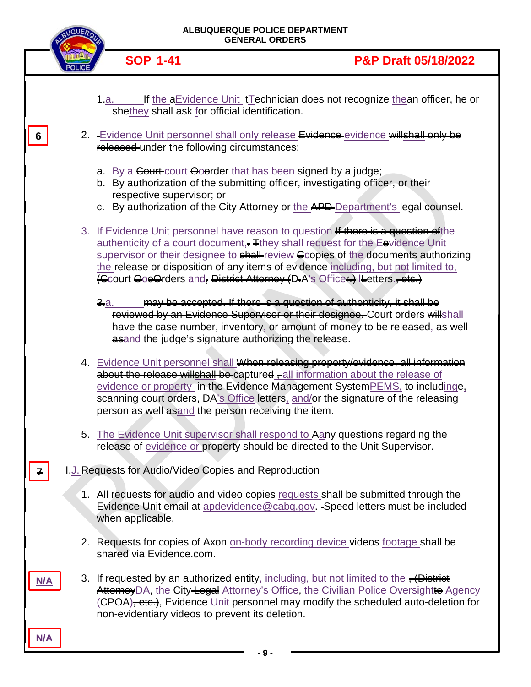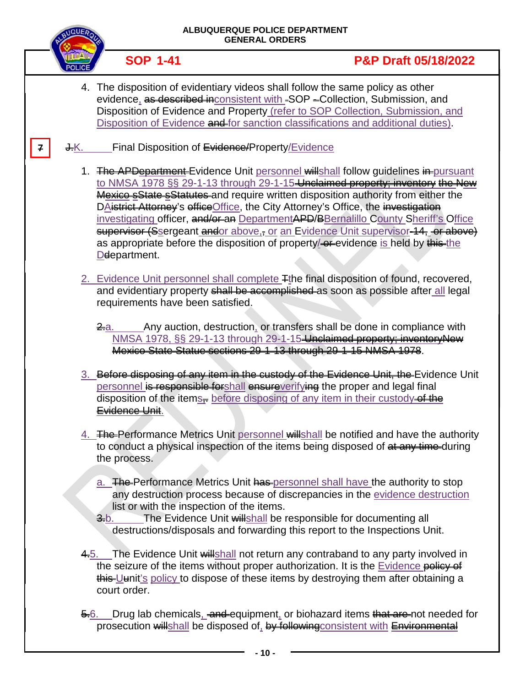|   |      | ALBUQUERQUE POLICE DEPARTMENT<br><b>GENERAL ORDERS</b> |                                                                                                                                                                                                                                                                                                                                                                                                                                                                                                                                                                                                                                     |  |
|---|------|--------------------------------------------------------|-------------------------------------------------------------------------------------------------------------------------------------------------------------------------------------------------------------------------------------------------------------------------------------------------------------------------------------------------------------------------------------------------------------------------------------------------------------------------------------------------------------------------------------------------------------------------------------------------------------------------------------|--|
|   |      | <b>SOP 1-41</b>                                        | <b>P&amp;P Draft 05/18/2022</b>                                                                                                                                                                                                                                                                                                                                                                                                                                                                                                                                                                                                     |  |
|   |      |                                                        | 4. The disposition of evidentiary videos shall follow the same policy as other<br>evidence, as described inconsistent with -SOP -Collection, Submission, and<br>Disposition of Evidence and Property (refer to SOP Collection, Submission, and<br>Disposition of Evidence and for sanction classifications and additional duties).                                                                                                                                                                                                                                                                                                  |  |
| 7 | J.Κ. | Final Disposition of Evidence/Property/Evidence        |                                                                                                                                                                                                                                                                                                                                                                                                                                                                                                                                                                                                                                     |  |
|   |      | Deepartment.                                           | 1. The APDepartment Evidence Unit personnel willshall follow guidelines in pursuant<br>to NMSA 1978 §§ 29-1-13 through 29-1-15 Unclaimed property; inventory the New<br>Mexico sState sStatutes and require written disposition authority from either the<br>DAistrict Attorney's effice Office, the City Attorney's Office, the investigation<br>investigating officer, and/or-an DepartmentAPD/BBernalillo County Sheriff's Office<br>supervisor (Ssergeant andor above <sub>3</sub> , or an Evidence Unit supervisor-14, or above)<br>as appropriate before the disposition of property/ <b>exe</b> evidence is held by this the |  |
|   |      | requirements have been satisfied.<br>2.a.              | 2. Evidence Unit personnel shall complete Fthe final disposition of found, recovered,<br>and evidentiary property shall be accomplished as soon as possible after all legal<br>Any auction, destruction, or transfers shall be done in compliance with<br>NMSA 1978, §§ 29-1-13 through 29-1-15-Unclaimed property; inventoryNew<br>Mexico State Statue sections 29-1-13 through 29-1-15 NMSA 1978.                                                                                                                                                                                                                                 |  |
|   |      | <b>Evidence Unit.</b>                                  | 3. Before disposing of any item in the custody of the Evidence Unit, the Evidence Unit<br>personnel is responsible forshall ensureverifying the proper and legal final<br>disposition of the items-before disposing of any item in their custody of the                                                                                                                                                                                                                                                                                                                                                                             |  |
|   |      | the process.                                           | 4. The Performance Metrics Unit personnel willshall be notified and have the authority<br>to conduct a physical inspection of the items being disposed of at any time-during                                                                                                                                                                                                                                                                                                                                                                                                                                                        |  |
|   |      | list or with the inspection of the items.<br>$3-b.$    | a. The Performance Metrics Unit has personnel shall have the authority to stop<br>any destruction process because of discrepancies in the evidence destruction<br>The Evidence Unit willshall be responsible for documenting all<br>destructions/disposals and forwarding this report to the Inspections Unit.                                                                                                                                                                                                                                                                                                                      |  |
|   |      | court order.                                           | 4.5. The Evidence Unit will shall not return any contraband to any party involved in<br>the seizure of the items without proper authorization. It is the Evidence policy of<br>this-Uunit's policy to dispose of these items by destroying them after obtaining a                                                                                                                                                                                                                                                                                                                                                                   |  |
|   |      | <del>5.</del> 6.                                       | Drug lab chemicals, and equipment, or biohazard items that are not needed for<br>prosecution will shall be disposed of, by following consistent with Environmental                                                                                                                                                                                                                                                                                                                                                                                                                                                                  |  |